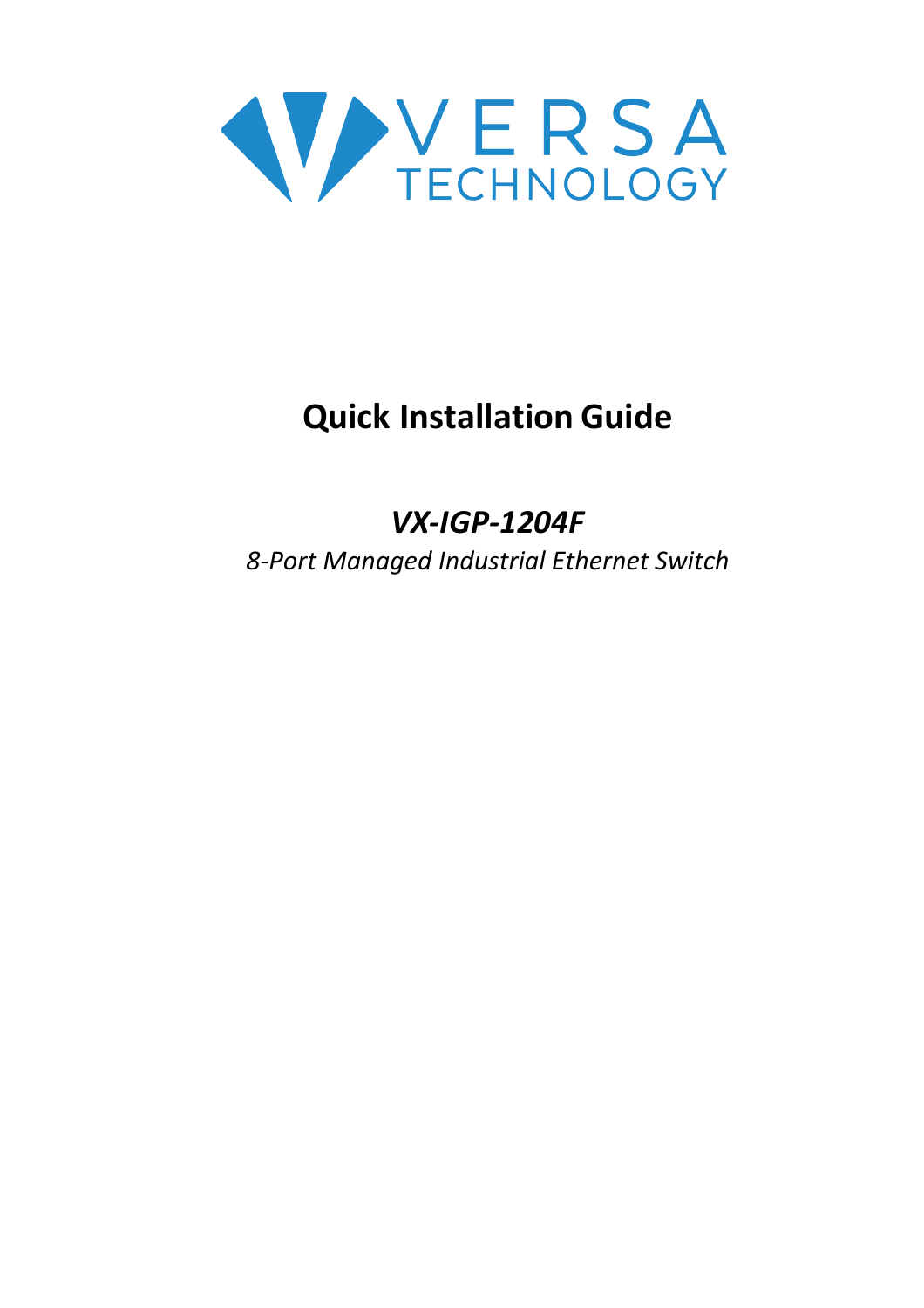

# **Quick Installation Guide**

# *VX-IGP-1204F*

*8-Port Managed Industrial Ethernet Switch*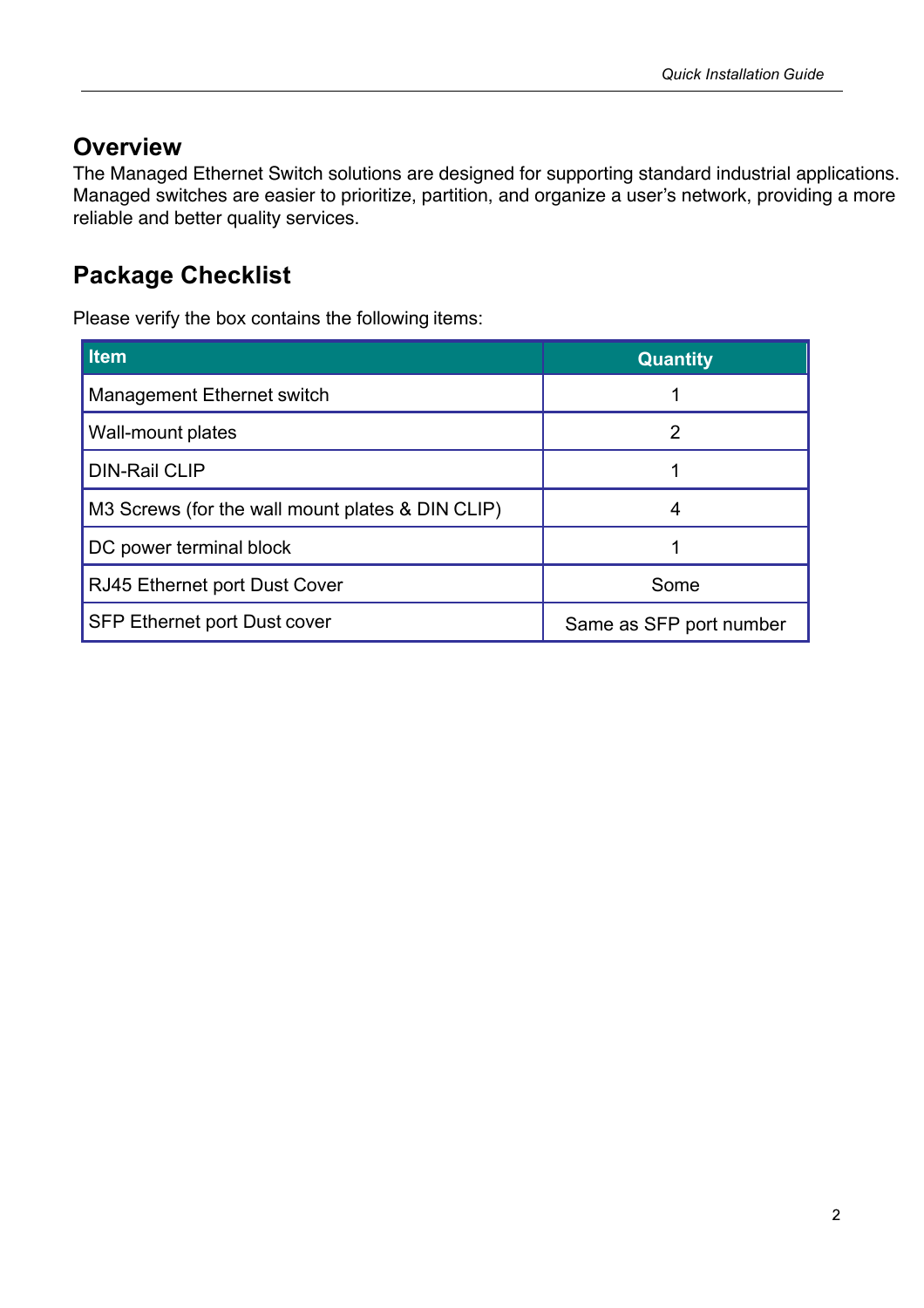#### **Overview**

The Managed Ethernet Switch solutions are designed for supporting standard industrial applications. Managed switches are easier to prioritize, partition, and organize a user's network, providing a more reliable and better quality services.

#### **Package Checklist**

Please verify the box contains the following items:

| <b>Item</b>                                      | <b>Quantity</b>         |
|--------------------------------------------------|-------------------------|
| Management Ethernet switch                       |                         |
| Wall-mount plates                                | 2                       |
| <b>DIN-Rail CLIP</b>                             |                         |
| M3 Screws (for the wall mount plates & DIN CLIP) | 4                       |
| DC power terminal block                          |                         |
| RJ45 Ethernet port Dust Cover                    | Some                    |
| <b>SFP Ethernet port Dust cover</b>              | Same as SFP port number |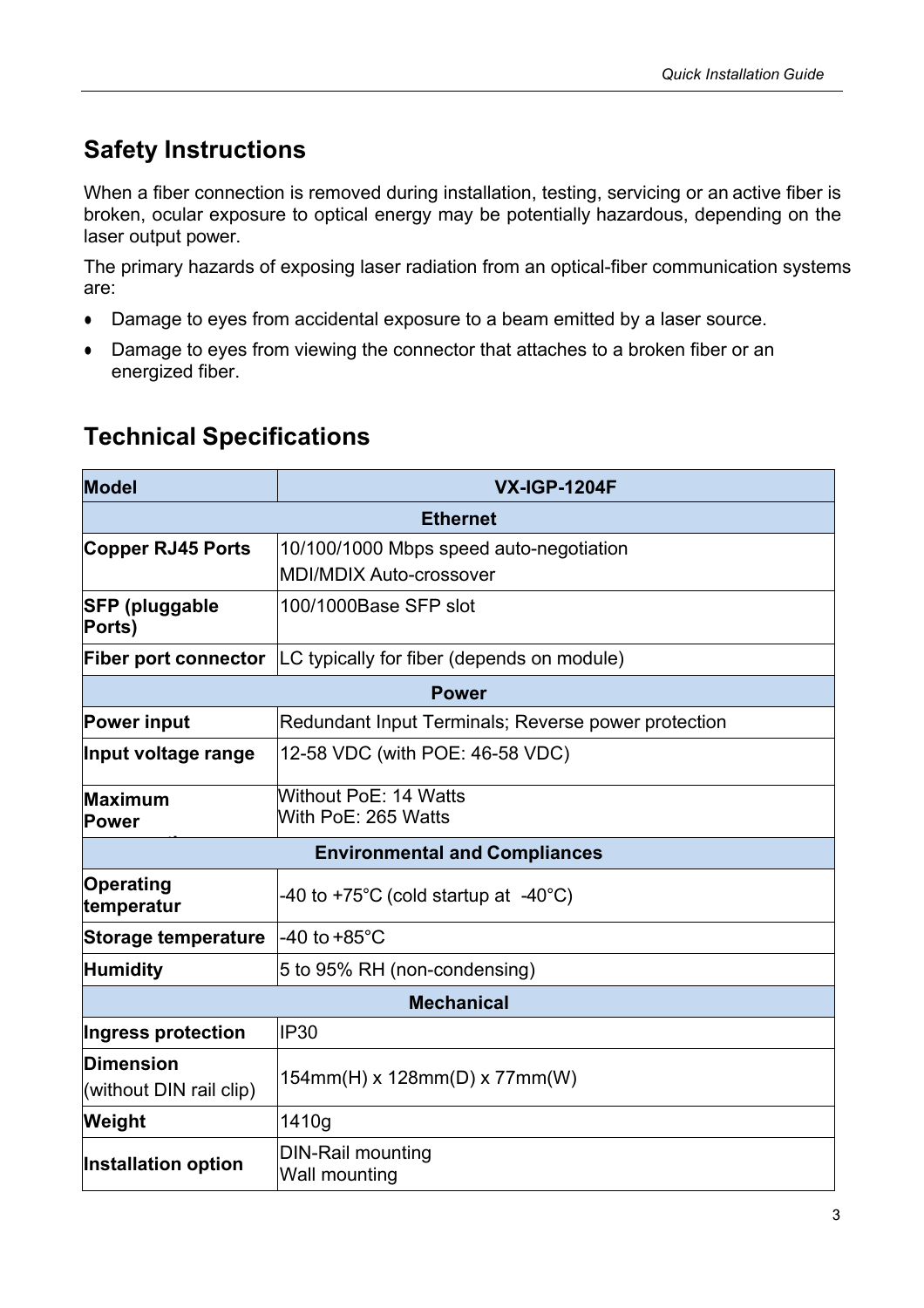### **Safety Instructions**

When a fiber connection is removed during installation, testing, servicing or an active fiber is broken, ocular exposure to optical energy may be potentially hazardous, depending on the laser output power.

The primary hazards of exposing laser radiation from an optical-fiber communication systems are:

- Damage to eyes from accidental exposure to a beam emitted by a laser source.
- Damage to eyes from viewing the connector that attaches to a broken fiber or an energized fiber.

#### **Technical Specifications**

| <b>Model</b>                         | <b>VX-IGP-1204F</b>                                 |  |  |  |
|--------------------------------------|-----------------------------------------------------|--|--|--|
| <b>Ethernet</b>                      |                                                     |  |  |  |
| <b>Copper RJ45 Ports</b>             | 10/100/1000 Mbps speed auto-negotiation             |  |  |  |
|                                      | <b>MDI/MDIX Auto-crossover</b>                      |  |  |  |
| <b>SFP (pluggable</b><br>Ports)      | 100/1000Base SFP slot                               |  |  |  |
| <b>Fiber port connector</b>          | LC typically for fiber (depends on module)          |  |  |  |
| <b>Power</b>                         |                                                     |  |  |  |
| <b>Power input</b>                   | Redundant Input Terminals; Reverse power protection |  |  |  |
| Input voltage range                  | 12-58 VDC (with POE: 46-58 VDC)                     |  |  |  |
| Maximum                              | Without PoE: 14 Watts                               |  |  |  |
| Power                                | With PoE: 265 Watts                                 |  |  |  |
| <b>Environmental and Compliances</b> |                                                     |  |  |  |
| <b>Operating</b><br>temperatur       | -40 to +75°C (cold startup at $-40^{\circ}$ C)      |  |  |  |
| <b>Storage temperature</b>           | -40 to $+85^{\circ}$ C                              |  |  |  |
| <b>Humidity</b>                      | 5 to 95% RH (non-condensing)                        |  |  |  |
| <b>Mechanical</b>                    |                                                     |  |  |  |
| Ingress protection                   | <b>IP30</b>                                         |  |  |  |
| <b>Dimension</b>                     | 154mm(H) x 128mm(D) x 77mm(W)                       |  |  |  |
| (without DIN rail clip)              |                                                     |  |  |  |
| Weight                               | 1410g                                               |  |  |  |
| Installation option                  | <b>DIN-Rail mounting</b><br>Wall mounting           |  |  |  |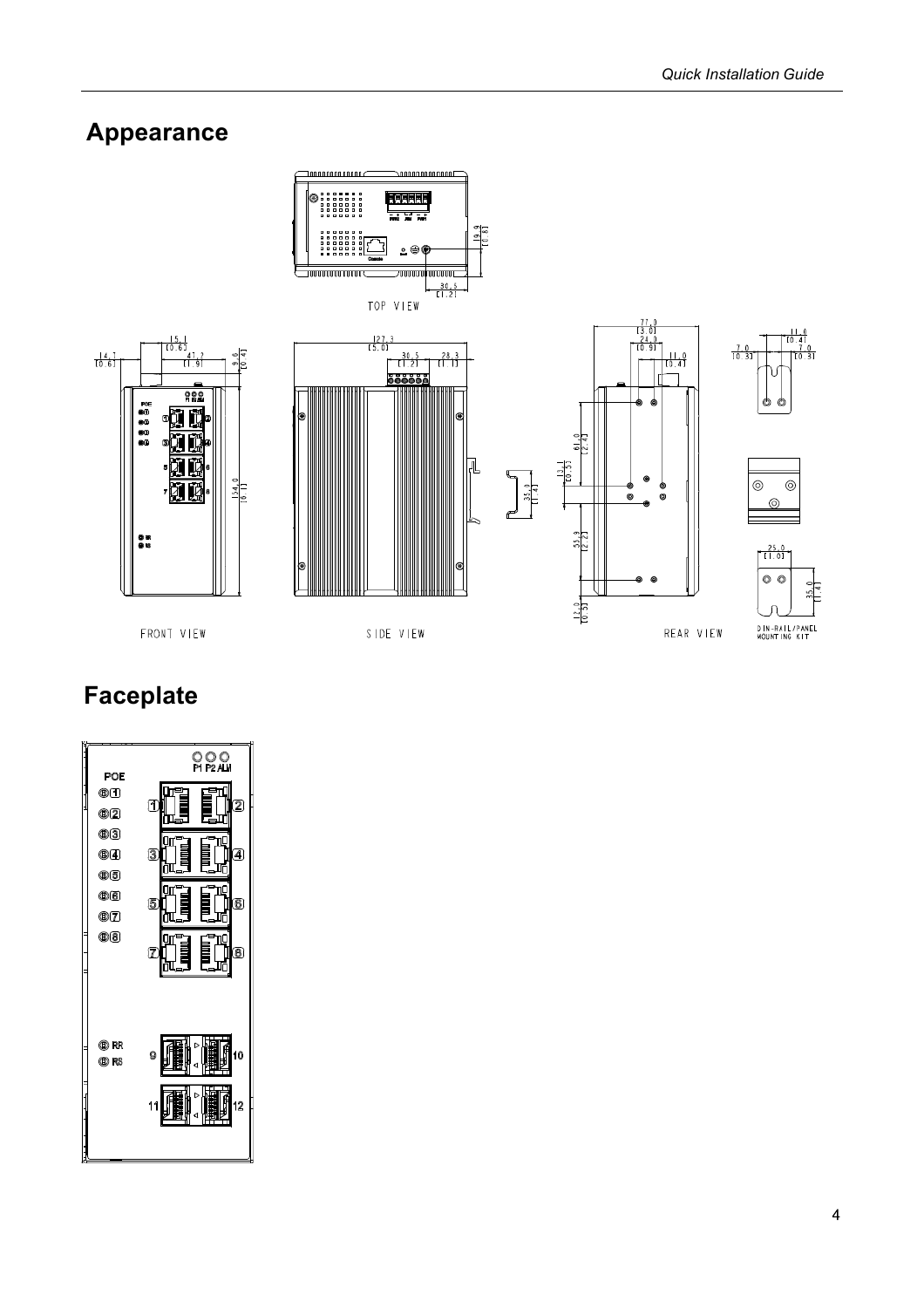REAR VIEW

#### **Appearance**



FRONT VIEW

SIDE VIEW

# **Faceplate**

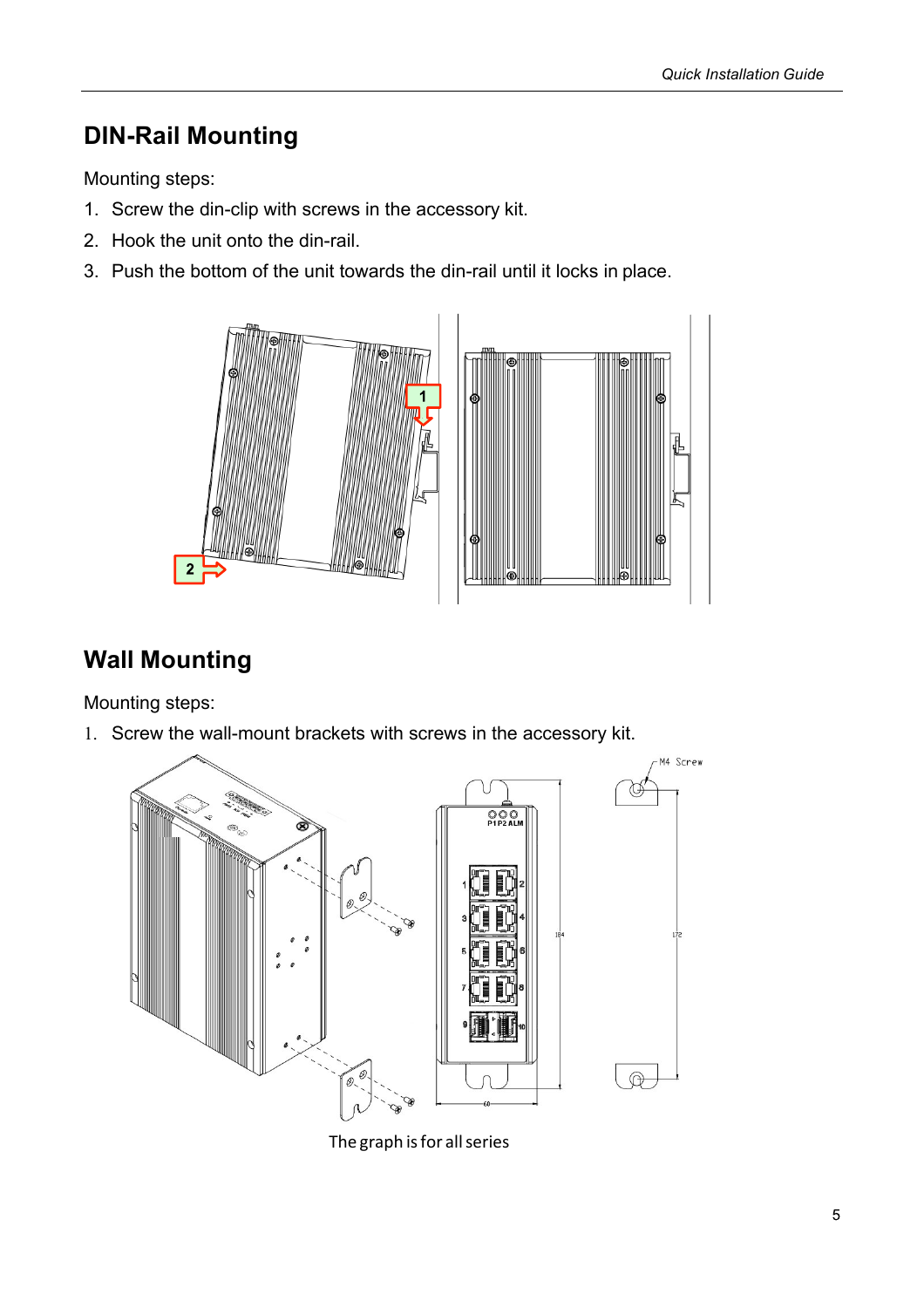# **DIN-Rail Mounting**

Mounting steps:

- 1. Screw the din-clip with screws in the accessory kit.
- 2. Hook the unit onto the din-rail.
- 3. Push the bottom of the unit towards the din-rail until it locks in place.



# **Wall Mounting**

Mounting steps:

1. Screw the wall-mount brackets with screws in the accessory kit.



The graph is for all series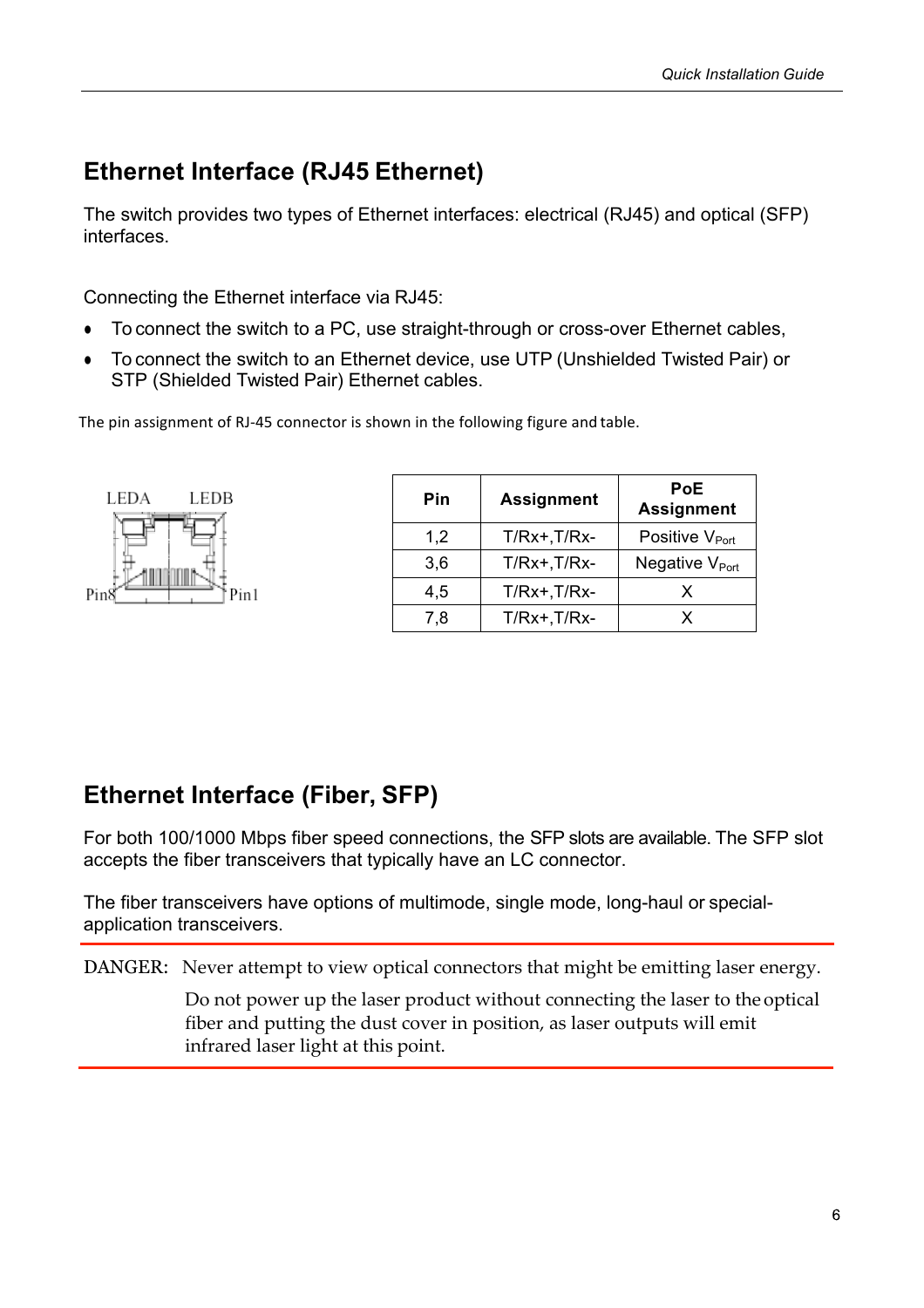#### **Ethernet Interface (RJ45 Ethernet)**

The switch provides two types of Ethernet interfaces: electrical (RJ45) and optical (SFP) interfaces.

Connecting the Ethernet interface via RJ45:

- To connect the switch to a PC, use straight-through or cross-over Ethernet cables,
- To connect the switch to an Ethernet device, use UTP (Unshielded Twisted Pair) or STP (Shielded Twisted Pair) Ethernet cables.

The pin assignment of RJ-45 connector is shown in the following figure and table.



| Pin | <b>Assignment</b> | <b>PoE</b><br><b>Assignment</b> |  |  |
|-----|-------------------|---------------------------------|--|--|
| 1,2 | $T/Rx+$ , $T/Rx-$ | Positive V <sub>Port</sub>      |  |  |
| 3,6 | $T/Rx+.T/Rx-$     | Negative V <sub>Port</sub>      |  |  |
| 4,5 | $T/Rx+$ , $T/Rx-$ | X                               |  |  |
| 7,8 | $T/Rx+$ , $T/Rx-$ | x                               |  |  |

#### **Ethernet Interface (Fiber, SFP)**

For both 100/1000 Mbps fiber speed connections, the SFP slots are available. The SFP slot accepts the fiber transceivers that typically have an LC connector.

The fiber transceivers have options of multimode, single mode, long-haul or specialapplication transceivers.

DANGER: Never attempt to view optical connectors that might be emitting laser energy.

Do not power up the laser product without connecting the laser to the optical fiber and putting the dust cover in position, as laser outputs will emit infrared laser light at this point.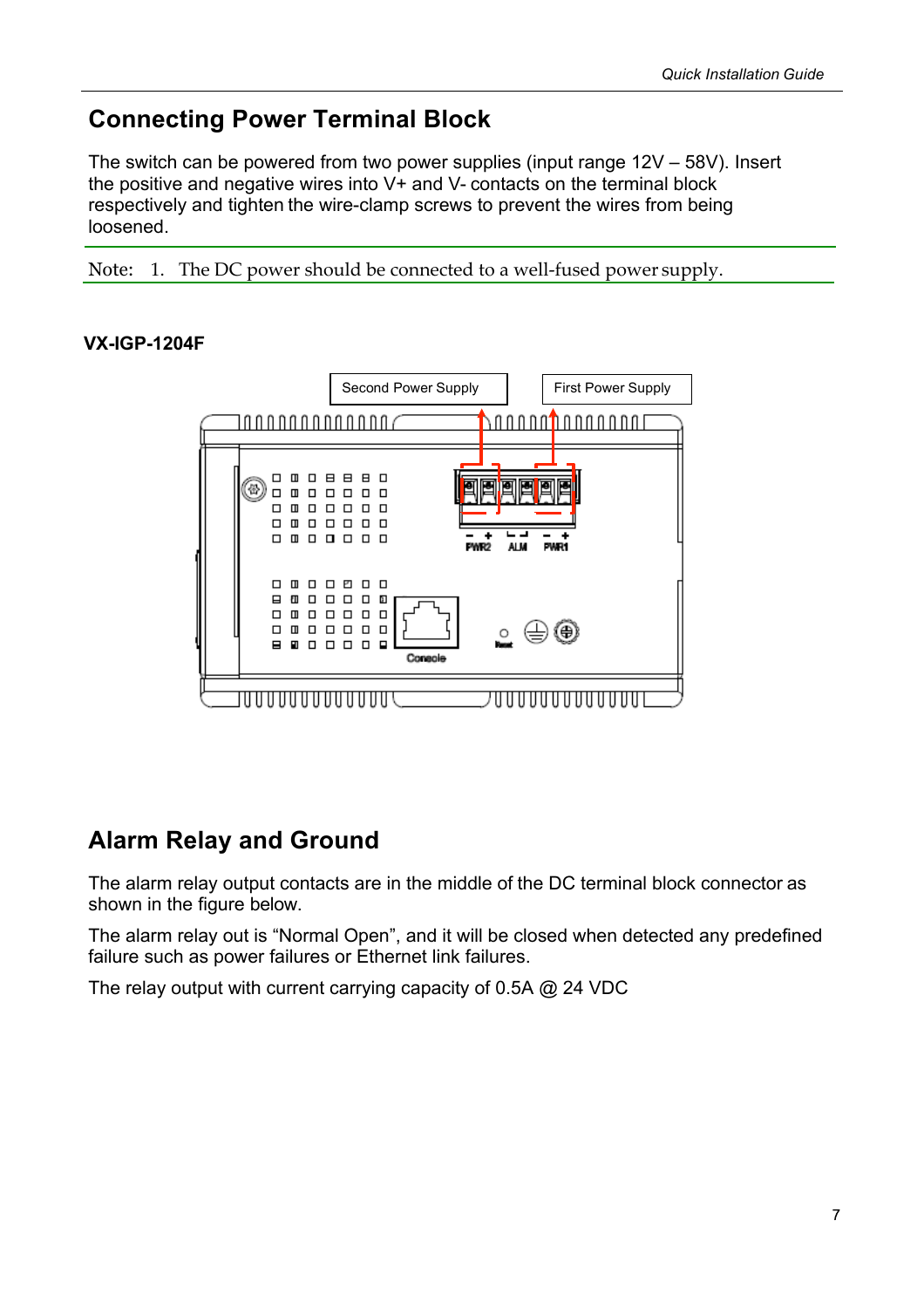#### **Connecting Power Terminal Block**

The switch can be powered from two power supplies (input range 12V – 58V). Insert the positive and negative wires into V+ and V- contacts on the terminal block respectively and tighten the wire-clamp screws to prevent the wires from being loosened.

Note: 1. The DC power should be connected to a well-fused power supply.

#### **VX-IGP-1204F**



### **Alarm Relay and Ground**

The alarm relay output contacts are in the middle of the DC terminal block connector as shown in the figure below.

The alarm relay out is "Normal Open", and it will be closed when detected any predefined failure such as power failures or Ethernet link failures.

The relay output with current carrying capacity of 0.5A @ 24 VDC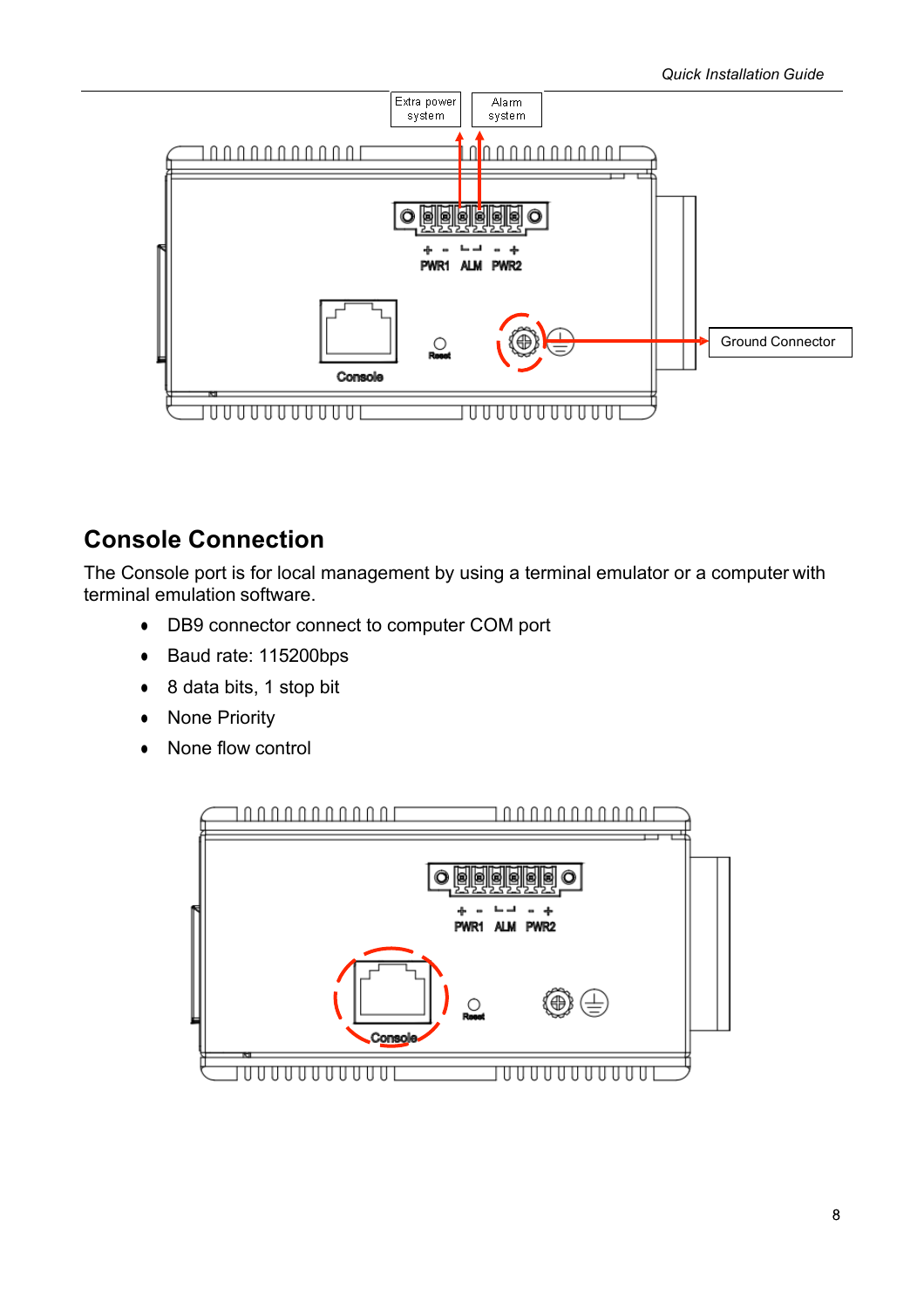

#### **Console Connection**

The Console port is for local management by using a terminal emulator or a computer with terminal emulation software.

- DB9 connector connect to computer COM port
- Baud rate: 115200bps
- 8 data bits, 1 stop bit
- None Priority
- None flow control

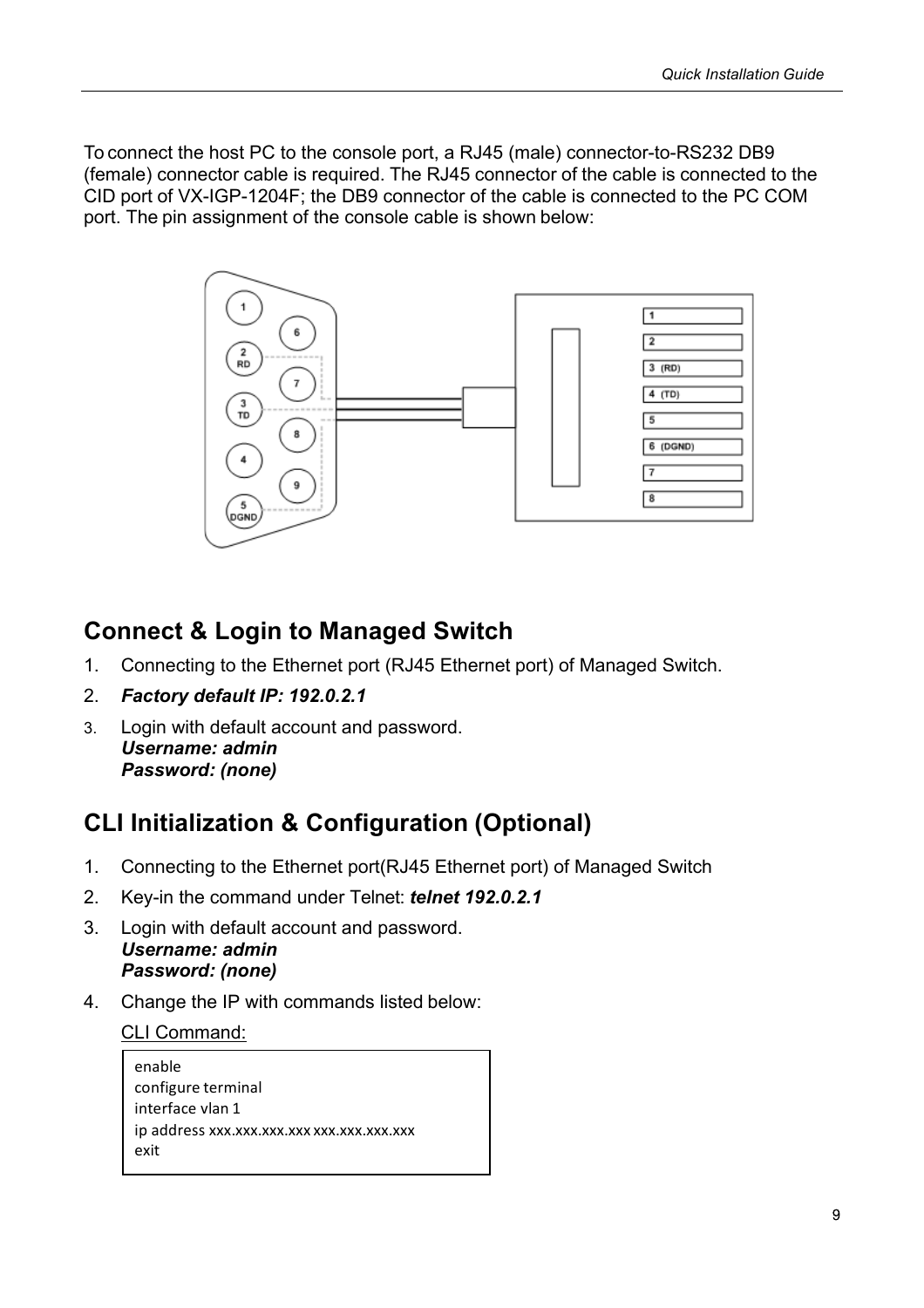To connect the host PC to the console port, a RJ45 (male) connector-to-RS232 DB9 (female) connector cable is required. The RJ45 connector of the cable is connected to the CID port of VX-IGP-1204F; the DB9 connector of the cable is connected to the PC COM port. The pin assignment of the console cable is shown below:



#### **Connect & Login to Managed Switch**

- 1. Connecting to the Ethernet port (RJ45 Ethernet port) of Managed Switch.
- 2. *Factory default IP: 192.0.2.1*
- 3. Login with default account and password. *Username: admin Password: (none)*

### **CLI Initialization & Configuration (Optional)**

- 1. Connecting to the Ethernet port(RJ45 Ethernet port) of Managed Switch
- 2. Key-in the command under Telnet: *telnet 192.0.2.1*
- 3. Login with default account and password. *Username: admin Password: (none)*
- 4. Change the IP with commands listed below:

CLI Command:

enable configure terminal interface vlan 1 ip address xxx.xxx.xxx.xxx xxx.xxx.xxx.xxx exit